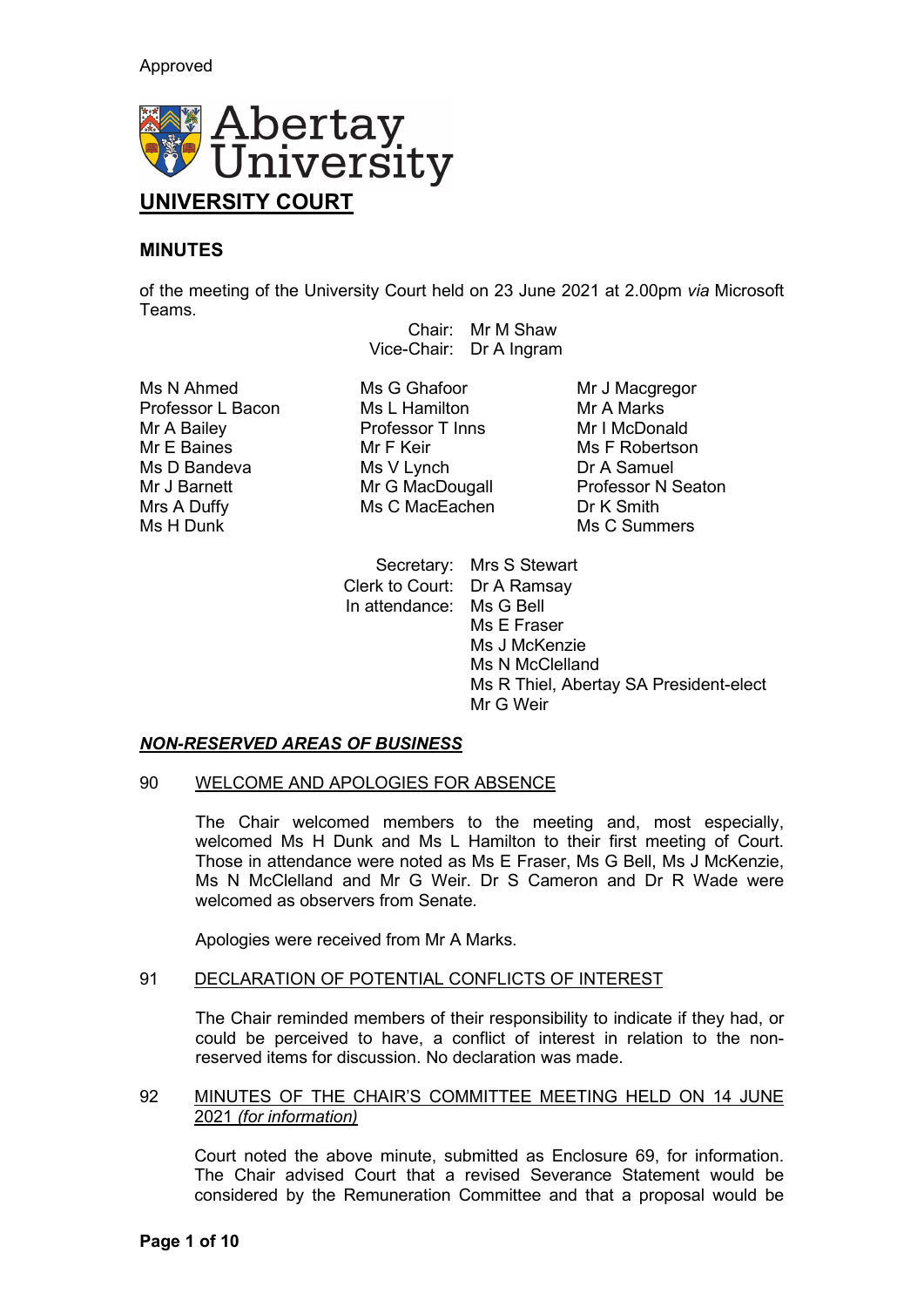

# **MINUTES**

of the meeting of the University Court held on 23 June 2021 at 2.00pm *via* Microsoft Teams.

Chair: Mr M Shaw Vice-Chair: Dr A Ingram

Mrs A Duffy Ms C MacEachen<br>Ms H Dunk

Ms N Ahmed Ms G Ghafoor Mr J Macgregor<br>Professor L Bacon Ms L Hamilton Mr A Marks Professor L Bacon Ms L Hamilton Mr A Marks<br>Mr A Bailey Mr A Professor T Inns Mr I McDonald Professor T Inns Mr E Baines Mr F Keir Ms F Robertson Mr J Barnett Mr G MacDougall Professor N<br>Mrs A Duffy Ms C MacEachen Dr K Smith

Ms D Bandeva Ms V Lynch Dr A Samuel Mr G MacDougall Professor N Seaton Ms C Summers

> Secretary: Mrs S Stewart Clerk to Court: Dr A Ramsay In attendance: Ms G Bell Ms E Fraser Ms J McKenzie Ms N McClelland Ms R Thiel, Abertay SA President-elect Mr G Weir

# *NON-RESERVED AREAS OF BUSINESS*

### 90 WELCOME AND APOLOGIES FOR ABSENCE

The Chair welcomed members to the meeting and, most especially, welcomed Ms H Dunk and Ms L Hamilton to their first meeting of Court. Those in attendance were noted as Ms E Fraser, Ms G Bell, Ms J McKenzie, Ms N McClelland and Mr G Weir. Dr S Cameron and Dr R Wade were welcomed as observers from Senate.

Apologies were received from Mr A Marks.

# 91 DECLARATION OF POTENTIAL CONFLICTS OF INTEREST

The Chair reminded members of their responsibility to indicate if they had, or could be perceived to have, a conflict of interest in relation to the nonreserved items for discussion. No declaration was made.

# 92 MINUTES OF THE CHAIR'S COMMITTEE MEETING HELD ON 14 JUNE 2021 *(for information)*

Court noted the above minute, submitted as Enclosure 69, for information. The Chair advised Court that a revised Severance Statement would be considered by the Remuneration Committee and that a proposal would be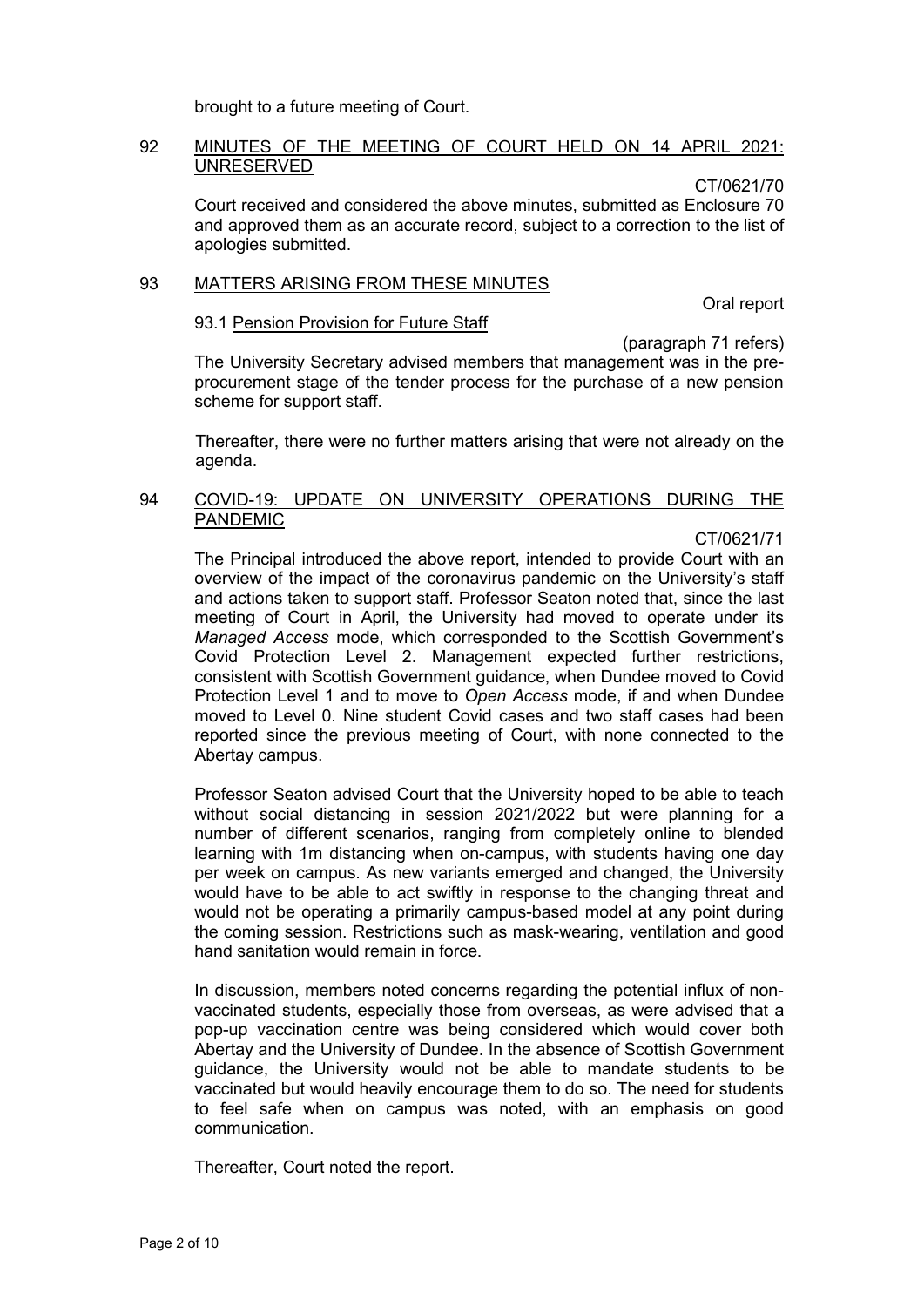brought to a future meeting of Court.

### 92 MINUTES OF THE MEETING OF COURT HELD ON 14 APRIL 2021: UNRESERVED

CT/0621/70

Court received and considered the above minutes, submitted as Enclosure 70 and approved them as an accurate record, subject to a correction to the list of apologies submitted.

### 93 MATTERS ARISING FROM THESE MINUTES

Oral report

# 93.1 Pension Provision for Future Staff

(paragraph 71 refers)

The University Secretary advised members that management was in the preprocurement stage of the tender process for the purchase of a new pension scheme for support staff.

Thereafter, there were no further matters arising that were not already on the agenda.

# 94 COVID-19: UPDATE ON UNIVERSITY OPERATIONS DURING THE PANDEMIC

CT/0621/71

The Principal introduced the above report, intended to provide Court with an overview of the impact of the coronavirus pandemic on the University's staff and actions taken to support staff. Professor Seaton noted that, since the last meeting of Court in April, the University had moved to operate under its *Managed Access* mode, which corresponded to the Scottish Government's Covid Protection Level 2. Management expected further restrictions, consistent with Scottish Government guidance, when Dundee moved to Covid Protection Level 1 and to move to *Open Access* mode, if and when Dundee moved to Level 0. Nine student Covid cases and two staff cases had been reported since the previous meeting of Court, with none connected to the Abertay campus.

Professor Seaton advised Court that the University hoped to be able to teach without social distancing in session 2021/2022 but were planning for a number of different scenarios, ranging from completely online to blended learning with 1m distancing when on-campus, with students having one day per week on campus. As new variants emerged and changed, the University would have to be able to act swiftly in response to the changing threat and would not be operating a primarily campus-based model at any point during the coming session. Restrictions such as mask-wearing, ventilation and good hand sanitation would remain in force.

In discussion, members noted concerns regarding the potential influx of nonvaccinated students, especially those from overseas, as were advised that a pop-up vaccination centre was being considered which would cover both Abertay and the University of Dundee. In the absence of Scottish Government guidance, the University would not be able to mandate students to be vaccinated but would heavily encourage them to do so. The need for students to feel safe when on campus was noted, with an emphasis on good communication.

Thereafter, Court noted the report.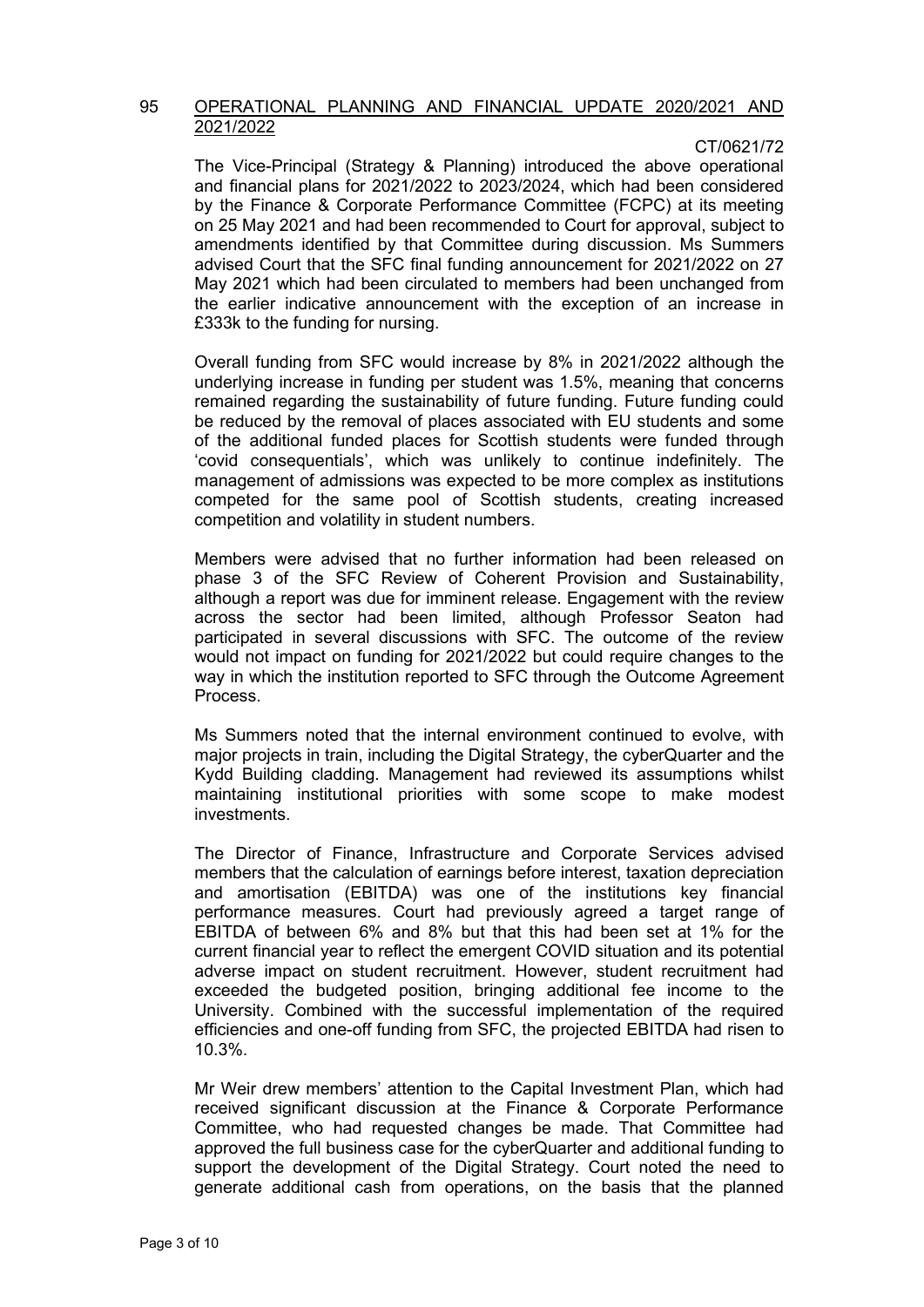#### 95 OPERATIONAL PLANNING AND FINANCIAL UPDATE 2020/2021 AND 2021/2022

### CT/0621/72

The Vice-Principal (Strategy & Planning) introduced the above operational and financial plans for 2021/2022 to 2023/2024, which had been considered by the Finance & Corporate Performance Committee (FCPC) at its meeting on 25 May 2021 and had been recommended to Court for approval, subject to amendments identified by that Committee during discussion. Ms Summers advised Court that the SFC final funding announcement for 2021/2022 on 27 May 2021 which had been circulated to members had been unchanged from the earlier indicative announcement with the exception of an increase in £333k to the funding for nursing.

Overall funding from SFC would increase by 8% in 2021/2022 although the underlying increase in funding per student was 1.5%, meaning that concerns remained regarding the sustainability of future funding. Future funding could be reduced by the removal of places associated with EU students and some of the additional funded places for Scottish students were funded through 'covid consequentials', which was unlikely to continue indefinitely. The management of admissions was expected to be more complex as institutions competed for the same pool of Scottish students, creating increased competition and volatility in student numbers.

Members were advised that no further information had been released on phase 3 of the SFC Review of Coherent Provision and Sustainability, although a report was due for imminent release. Engagement with the review across the sector had been limited, although Professor Seaton had participated in several discussions with SFC. The outcome of the review would not impact on funding for 2021/2022 but could require changes to the way in which the institution reported to SFC through the Outcome Agreement Process.

Ms Summers noted that the internal environment continued to evolve, with major projects in train, including the Digital Strategy, the cyberQuarter and the Kydd Building cladding. Management had reviewed its assumptions whilst maintaining institutional priorities with some scope to make modest investments.

The Director of Finance, Infrastructure and Corporate Services advised members that the calculation of earnings before interest, taxation depreciation and amortisation (EBITDA) was one of the institutions key financial performance measures. Court had previously agreed a target range of EBITDA of between 6% and 8% but that this had been set at 1% for the current financial year to reflect the emergent COVID situation and its potential adverse impact on student recruitment. However, student recruitment had exceeded the budgeted position, bringing additional fee income to the University. Combined with the successful implementation of the required efficiencies and one-off funding from SFC, the projected EBITDA had risen to 10.3%.

Mr Weir drew members' attention to the Capital Investment Plan, which had received significant discussion at the Finance & Corporate Performance Committee, who had requested changes be made. That Committee had approved the full business case for the cyberQuarter and additional funding to support the development of the Digital Strategy. Court noted the need to generate additional cash from operations, on the basis that the planned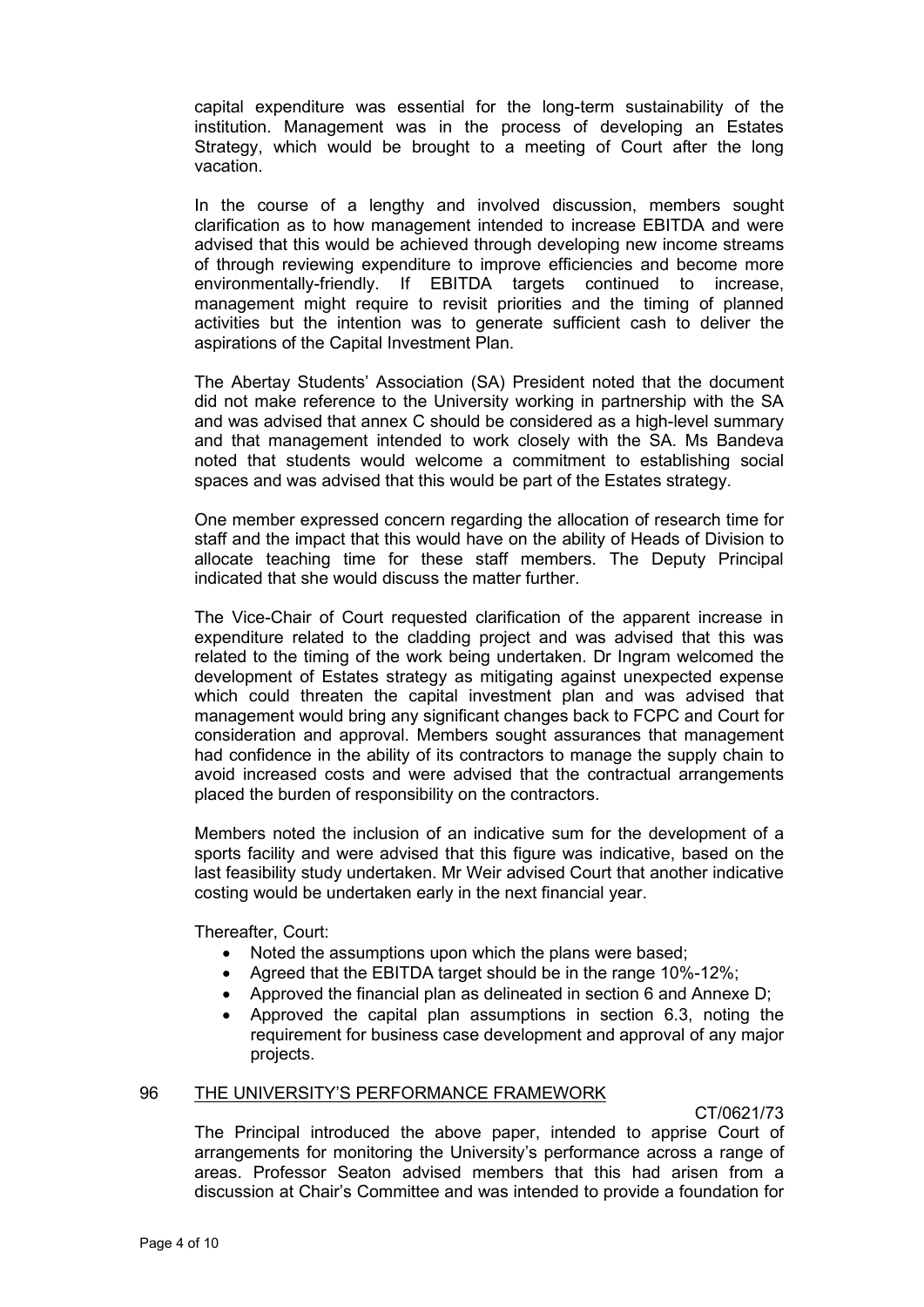capital expenditure was essential for the long-term sustainability of the institution. Management was in the process of developing an Estates Strategy, which would be brought to a meeting of Court after the long vacation.

In the course of a lengthy and involved discussion, members sought clarification as to how management intended to increase EBITDA and were advised that this would be achieved through developing new income streams of through reviewing expenditure to improve efficiencies and become more environmentally-friendly. If EBITDA targets continued to increase, management might require to revisit priorities and the timing of planned activities but the intention was to generate sufficient cash to deliver the aspirations of the Capital Investment Plan.

The Abertay Students' Association (SA) President noted that the document did not make reference to the University working in partnership with the SA and was advised that annex C should be considered as a high-level summary and that management intended to work closely with the SA. Ms Bandeva noted that students would welcome a commitment to establishing social spaces and was advised that this would be part of the Estates strategy.

One member expressed concern regarding the allocation of research time for staff and the impact that this would have on the ability of Heads of Division to allocate teaching time for these staff members. The Deputy Principal indicated that she would discuss the matter further.

The Vice-Chair of Court requested clarification of the apparent increase in expenditure related to the cladding project and was advised that this was related to the timing of the work being undertaken. Dr Ingram welcomed the development of Estates strategy as mitigating against unexpected expense which could threaten the capital investment plan and was advised that management would bring any significant changes back to FCPC and Court for consideration and approval. Members sought assurances that management had confidence in the ability of its contractors to manage the supply chain to avoid increased costs and were advised that the contractual arrangements placed the burden of responsibility on the contractors.

Members noted the inclusion of an indicative sum for the development of a sports facility and were advised that this figure was indicative, based on the last feasibility study undertaken. Mr Weir advised Court that another indicative costing would be undertaken early in the next financial year.

Thereafter, Court:

- Noted the assumptions upon which the plans were based;
- Agreed that the EBITDA target should be in the range 10%-12%;
- Approved the financial plan as delineated in section 6 and Annexe D;
- Approved the capital plan assumptions in section 6.3, noting the requirement for business case development and approval of any major projects.

### 96 THE UNIVERSITY'S PERFORMANCE FRAMEWORK

CT/0621/73

The Principal introduced the above paper, intended to apprise Court of arrangements for monitoring the University's performance across a range of areas. Professor Seaton advised members that this had arisen from a discussion at Chair's Committee and was intended to provide a foundation for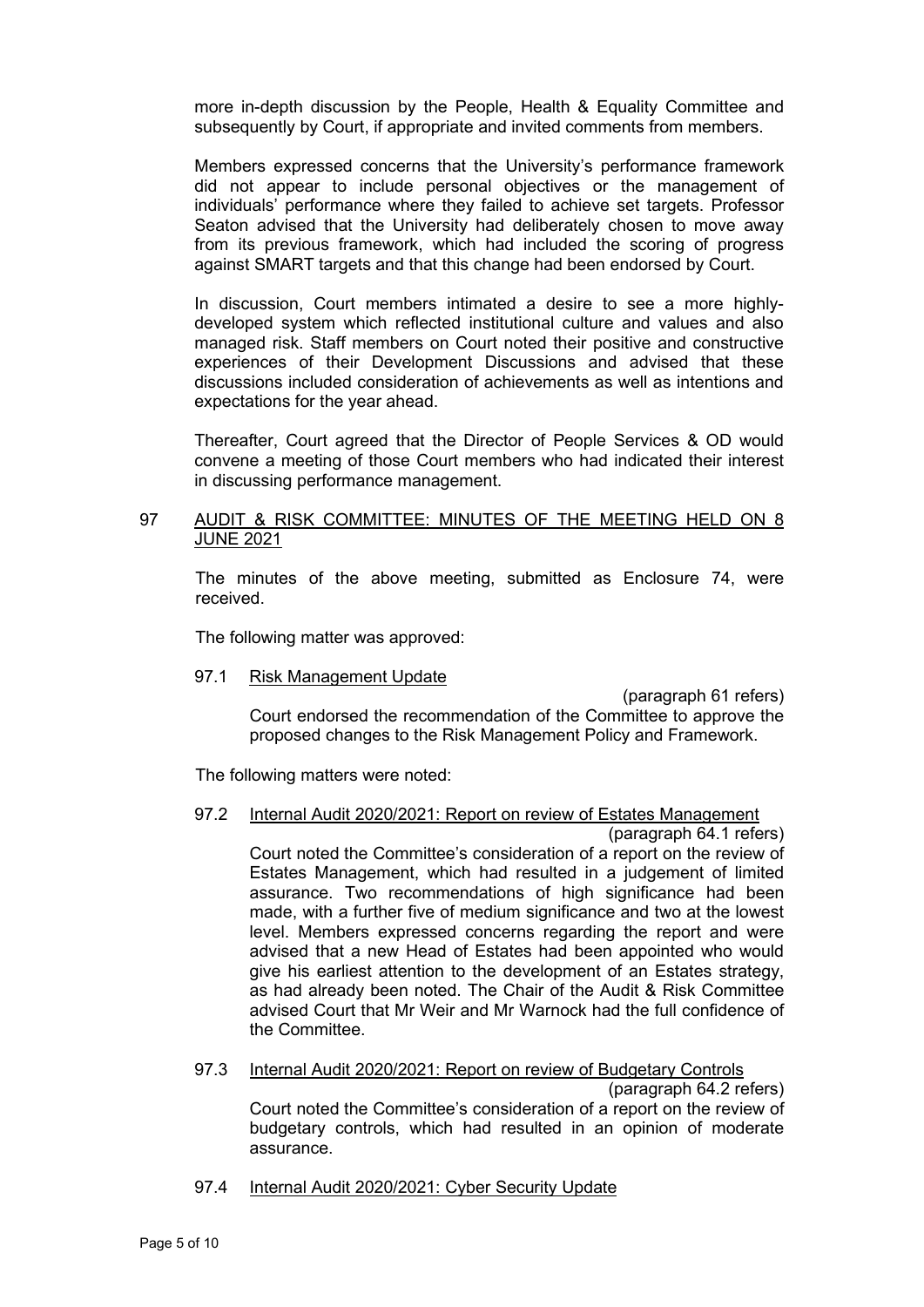more in-depth discussion by the People, Health & Equality Committee and subsequently by Court, if appropriate and invited comments from members.

Members expressed concerns that the University's performance framework did not appear to include personal objectives or the management of individuals' performance where they failed to achieve set targets. Professor Seaton advised that the University had deliberately chosen to move away from its previous framework, which had included the scoring of progress against SMART targets and that this change had been endorsed by Court.

In discussion, Court members intimated a desire to see a more highlydeveloped system which reflected institutional culture and values and also managed risk. Staff members on Court noted their positive and constructive experiences of their Development Discussions and advised that these discussions included consideration of achievements as well as intentions and expectations for the year ahead.

Thereafter, Court agreed that the Director of People Services & OD would convene a meeting of those Court members who had indicated their interest in discussing performance management.

### 97 AUDIT & RISK COMMITTEE: MINUTES OF THE MEETING HELD ON 8 JUNE 2021

The minutes of the above meeting, submitted as Enclosure 74, were received.

The following matter was approved:

### 97.1 Risk Management Update

(paragraph 61 refers) Court endorsed the recommendation of the Committee to approve the proposed changes to the Risk Management Policy and Framework.

The following matters were noted:

# 97.2 Internal Audit 2020/2021: Report on review of Estates Management

(paragraph 64.1 refers)

Court noted the Committee's consideration of a report on the review of Estates Management, which had resulted in a judgement of limited assurance. Two recommendations of high significance had been made, with a further five of medium significance and two at the lowest level. Members expressed concerns regarding the report and were advised that a new Head of Estates had been appointed who would give his earliest attention to the development of an Estates strategy, as had already been noted. The Chair of the Audit & Risk Committee advised Court that Mr Weir and Mr Warnock had the full confidence of the Committee.

# 97.3 Internal Audit 2020/2021: Report on review of Budgetary Controls

(paragraph 64.2 refers) Court noted the Committee's consideration of a report on the review of budgetary controls, which had resulted in an opinion of moderate assurance.

# 97.4 Internal Audit 2020/2021: Cyber Security Update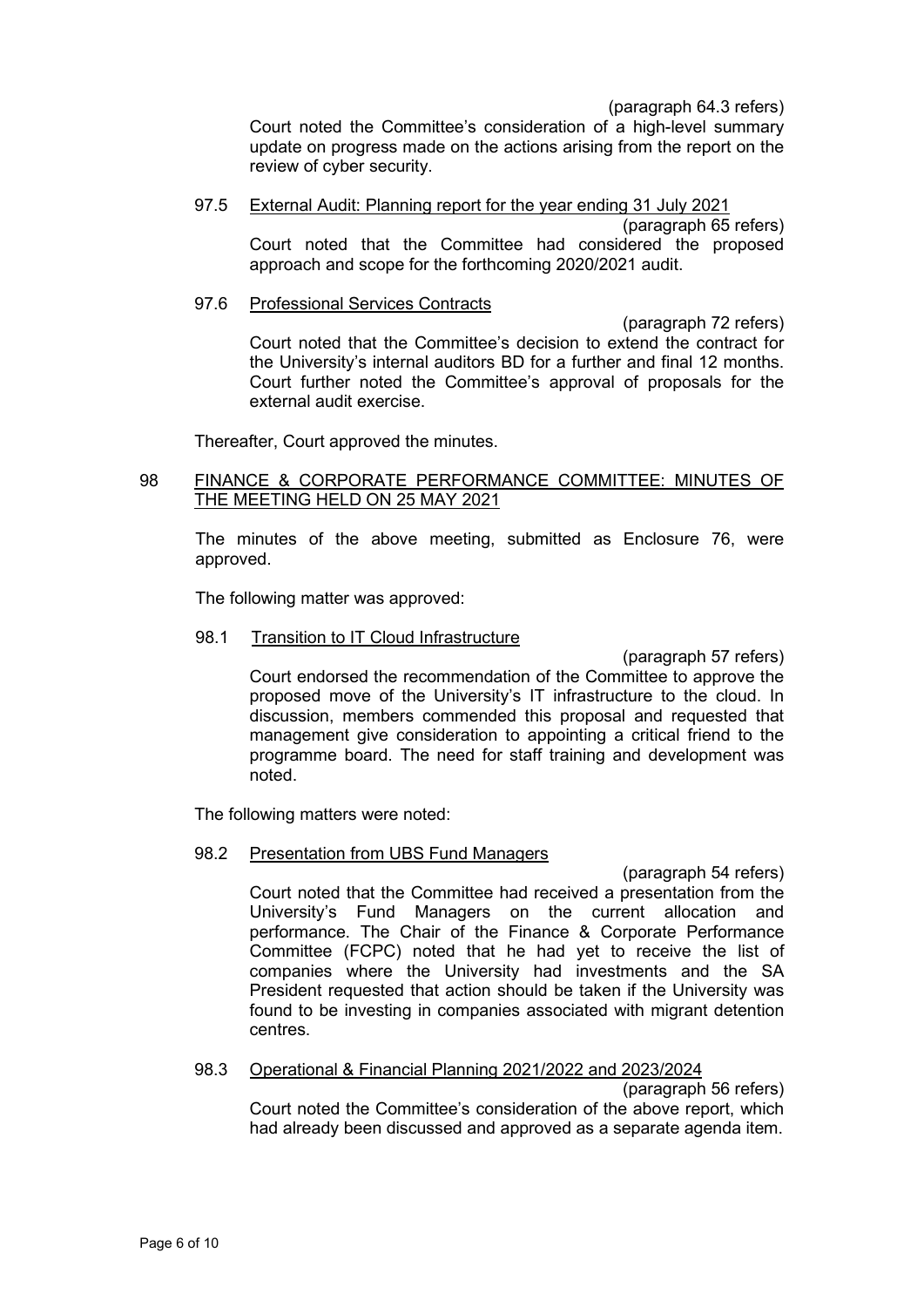(paragraph 64.3 refers)

Court noted the Committee's consideration of a high-level summary update on progress made on the actions arising from the report on the review of cyber security.

#### 97.5 External Audit: Planning report for the year ending 31 July 2021 (paragraph 65 refers)

Court noted that the Committee had considered the proposed approach and scope for the forthcoming 2020/2021 audit.

### 97.6 Professional Services Contracts

(paragraph 72 refers) Court noted that the Committee's decision to extend the contract for the University's internal auditors BD for a further and final 12 months. Court further noted the Committee's approval of proposals for the external audit exercise.

Thereafter, Court approved the minutes.

# 98 FINANCE & CORPORATE PERFORMANCE COMMITTEE: MINUTES OF THE MEETING HELD ON 25 MAY 2021

The minutes of the above meeting, submitted as Enclosure 76, were approved.

The following matter was approved:

# 98.1 Transition to IT Cloud Infrastructure

(paragraph 57 refers) Court endorsed the recommendation of the Committee to approve the proposed move of the University's IT infrastructure to the cloud. In discussion, members commended this proposal and requested that management give consideration to appointing a critical friend to the programme board. The need for staff training and development was noted.

The following matters were noted:

# 98.2 Presentation from UBS Fund Managers

(paragraph 54 refers) Court noted that the Committee had received a presentation from the University's Fund Managers on the current allocation and performance. The Chair of the Finance & Corporate Performance Committee (FCPC) noted that he had yet to receive the list of companies where the University had investments and the SA President requested that action should be taken if the University was found to be investing in companies associated with migrant detention centres.

# 98.3 Operational & Financial Planning 2021/2022 and 2023/2024

(paragraph 56 refers) Court noted the Committee's consideration of the above report, which had already been discussed and approved as a separate agenda item.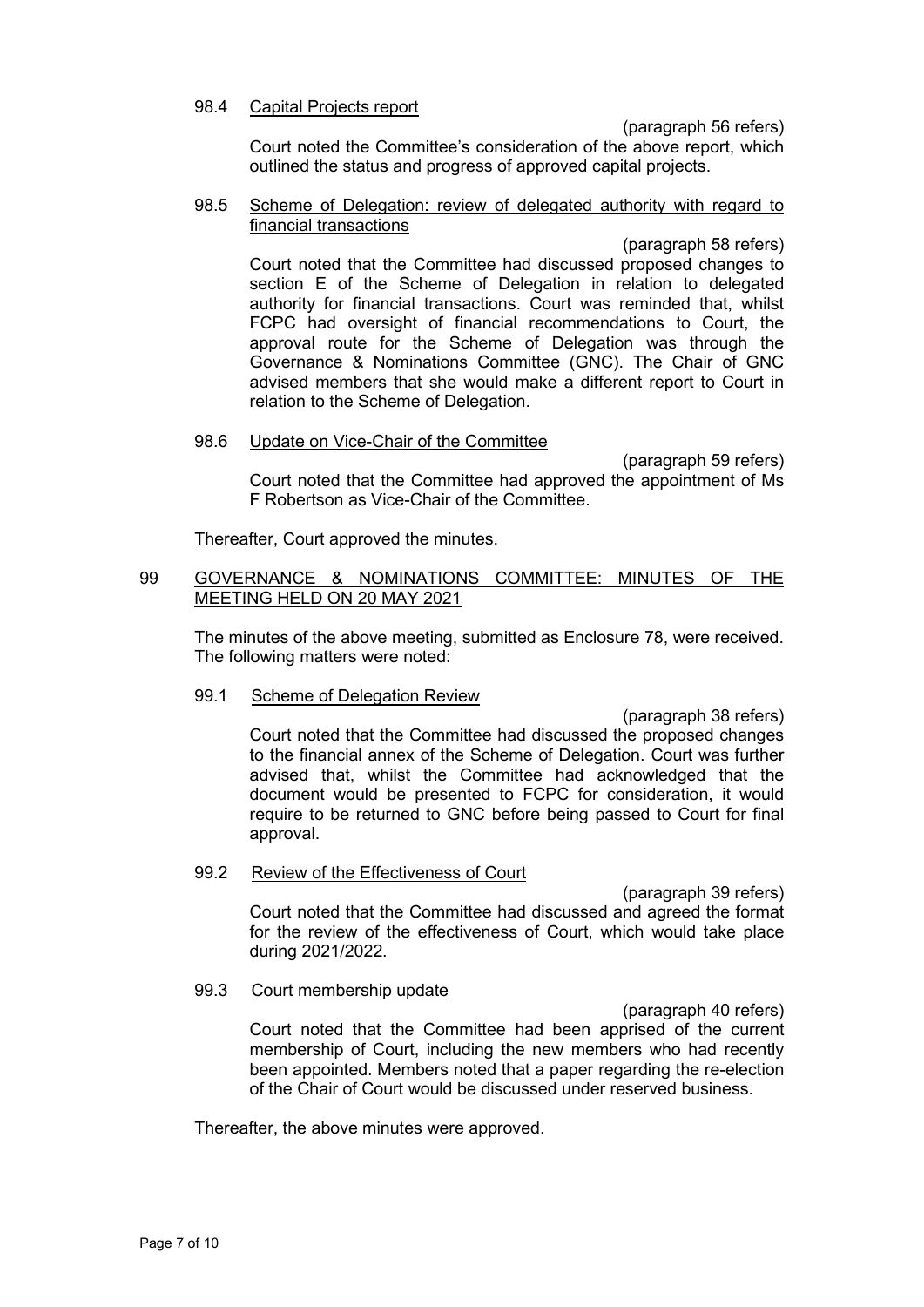### 98.4 Capital Projects report

(paragraph 56 refers)

Court noted the Committee's consideration of the above report, which outlined the status and progress of approved capital projects.

#### 98.5 Scheme of Delegation: review of delegated authority with regard to financial transactions

(paragraph 58 refers) Court noted that the Committee had discussed proposed changes to section E of the Scheme of Delegation in relation to delegated authority for financial transactions. Court was reminded that, whilst FCPC had oversight of financial recommendations to Court, the approval route for the Scheme of Delegation was through the Governance & Nominations Committee (GNC). The Chair of GNC advised members that she would make a different report to Court in relation to the Scheme of Delegation.

### 98.6 Update on Vice-Chair of the Committee

(paragraph 59 refers) Court noted that the Committee had approved the appointment of Ms F Robertson as Vice-Chair of the Committee.

Thereafter, Court approved the minutes.

### 99 GOVERNANCE & NOMINATIONS COMMITTEE: MINUTES OF THE MEETING HELD ON 20 MAY 2021

The minutes of the above meeting, submitted as Enclosure 78, were received. The following matters were noted:

### 99.1 Scheme of Delegation Review

(paragraph 38 refers) Court noted that the Committee had discussed the proposed changes to the financial annex of the Scheme of Delegation. Court was further advised that, whilst the Committee had acknowledged that the document would be presented to FCPC for consideration, it would require to be returned to GNC before being passed to Court for final approval.

### 99.2 Review of the Effectiveness of Court

(paragraph 39 refers) Court noted that the Committee had discussed and agreed the format for the review of the effectiveness of Court, which would take place during 2021/2022.

### 99.3 Court membership update

(paragraph 40 refers) Court noted that the Committee had been apprised of the current membership of Court, including the new members who had recently been appointed. Members noted that a paper regarding the re-election of the Chair of Court would be discussed under reserved business.

Thereafter, the above minutes were approved.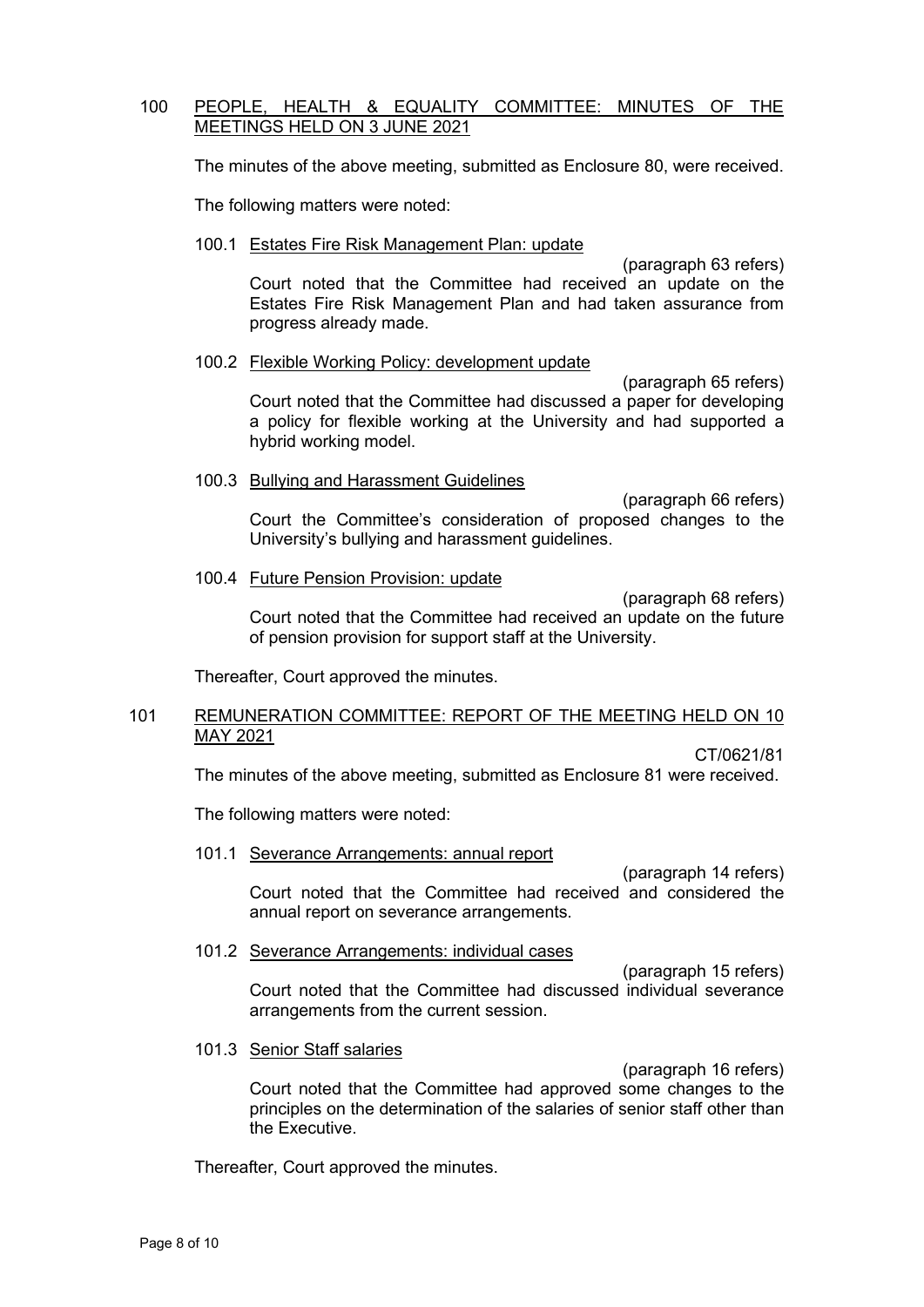### 100 PEOPLE, HEALTH & EQUALITY COMMITTEE: MINUTES OF THE MEETINGS HELD ON 3 JUNE 2021

The minutes of the above meeting, submitted as Enclosure 80, were received.

The following matters were noted:

### 100.1 Estates Fire Risk Management Plan: update

(paragraph 63 refers) Court noted that the Committee had received an update on the Estates Fire Risk Management Plan and had taken assurance from progress already made.

# 100.2 Flexible Working Policy: development update

(paragraph 65 refers) Court noted that the Committee had discussed a paper for developing a policy for flexible working at the University and had supported a hybrid working model.

# 100.3 Bullying and Harassment Guidelines

(paragraph 66 refers) Court the Committee's consideration of proposed changes to the University's bullying and harassment guidelines.

### 100.4 Future Pension Provision: update

(paragraph 68 refers) Court noted that the Committee had received an update on the future of pension provision for support staff at the University.

Thereafter, Court approved the minutes.

### 101 REMUNERATION COMMITTEE: REPORT OF THE MEETING HELD ON 10 MAY 2021

CT/0621/81

The minutes of the above meeting, submitted as Enclosure 81 were received.

The following matters were noted:

### 101.1 Severance Arrangements: annual report

(paragraph 14 refers) Court noted that the Committee had received and considered the annual report on severance arrangements.

### 101.2 Severance Arrangements: individual cases

(paragraph 15 refers) Court noted that the Committee had discussed individual severance arrangements from the current session.

# 101.3 Senior Staff salaries

(paragraph 16 refers) Court noted that the Committee had approved some changes to the principles on the determination of the salaries of senior staff other than the Executive.

Thereafter, Court approved the minutes.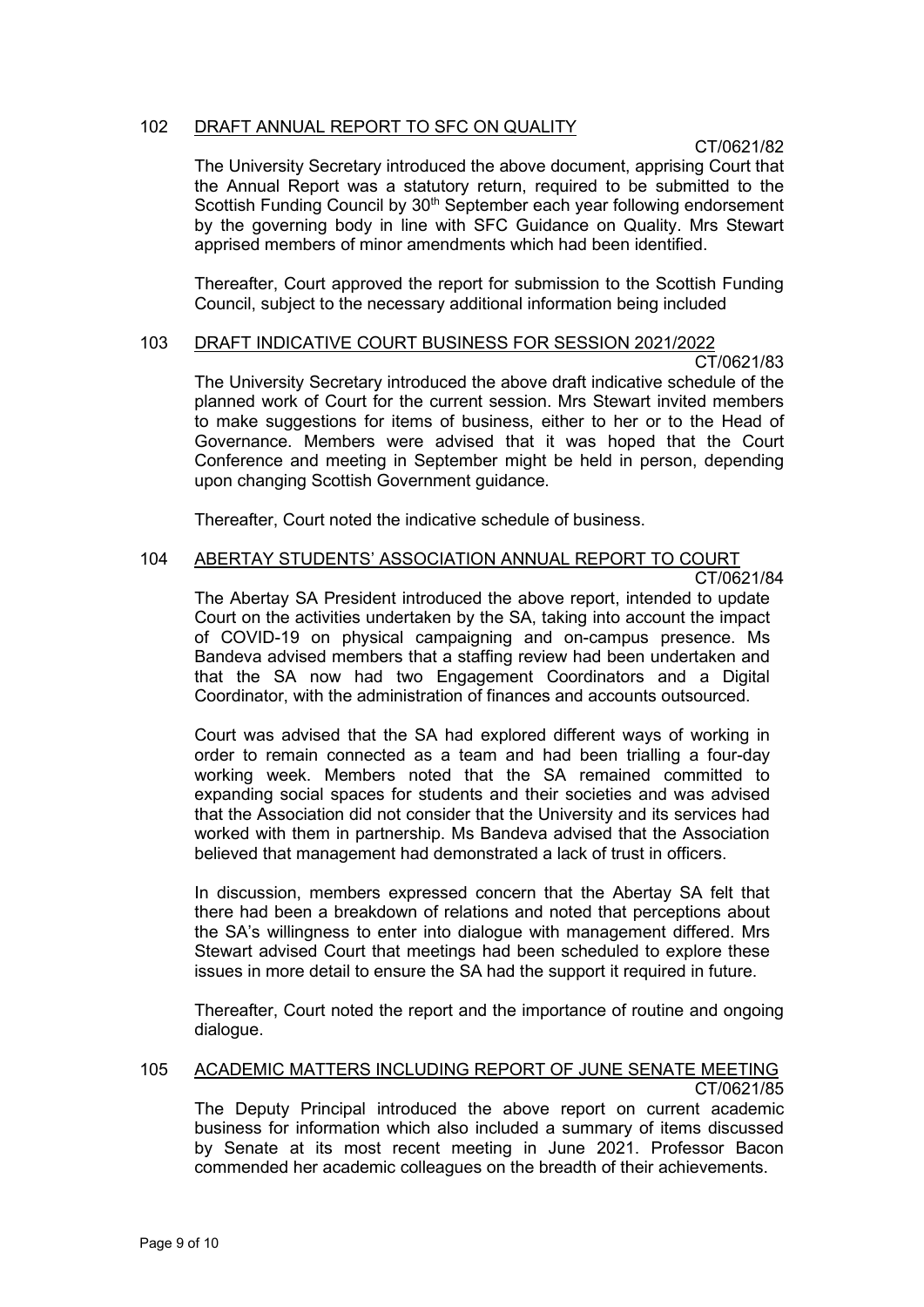# 102 DRAFT ANNUAL REPORT TO SFC ON QUALITY

CT/0621/82

The University Secretary introduced the above document, apprising Court that the Annual Report was a statutory return, required to be submitted to the Scottish Funding Council by 30<sup>th</sup> September each year following endorsement by the governing body in line with SFC Guidance on Quality. Mrs Stewart apprised members of minor amendments which had been identified.

Thereafter, Court approved the report for submission to the Scottish Funding Council, subject to the necessary additional information being included

# 103 DRAFT INDICATIVE COURT BUSINESS FOR SESSION 2021/2022

CT/0621/83

The University Secretary introduced the above draft indicative schedule of the planned work of Court for the current session. Mrs Stewart invited members to make suggestions for items of business, either to her or to the Head of Governance. Members were advised that it was hoped that the Court Conference and meeting in September might be held in person, depending upon changing Scottish Government guidance.

Thereafter, Court noted the indicative schedule of business.

# 104 ABERTAY STUDENTS' ASSOCIATION ANNUAL REPORT TO COURT

CT/0621/84

The Abertay SA President introduced the above report, intended to update Court on the activities undertaken by the SA, taking into account the impact of COVID-19 on physical campaigning and on-campus presence. Ms Bandeva advised members that a staffing review had been undertaken and that the SA now had two Engagement Coordinators and a Digital Coordinator, with the administration of finances and accounts outsourced.

Court was advised that the SA had explored different ways of working in order to remain connected as a team and had been trialling a four-day working week. Members noted that the SA remained committed to expanding social spaces for students and their societies and was advised that the Association did not consider that the University and its services had worked with them in partnership. Ms Bandeva advised that the Association believed that management had demonstrated a lack of trust in officers.

In discussion, members expressed concern that the Abertay SA felt that there had been a breakdown of relations and noted that perceptions about the SA's willingness to enter into dialogue with management differed. Mrs Stewart advised Court that meetings had been scheduled to explore these issues in more detail to ensure the SA had the support it required in future.

Thereafter, Court noted the report and the importance of routine and ongoing dialogue.

#### 105 ACADEMIC MATTERS INCLUDING REPORT OF JUNE SENATE MEETING CT/0621/85

The Deputy Principal introduced the above report on current academic business for information which also included a summary of items discussed by Senate at its most recent meeting in June 2021. Professor Bacon commended her academic colleagues on the breadth of their achievements.